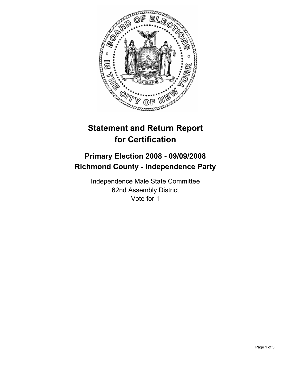

# **Statement and Return Report for Certification**

## **Primary Election 2008 - 09/09/2008 Richmond County - Independence Party**

Independence Male State Committee 62nd Assembly District Vote for 1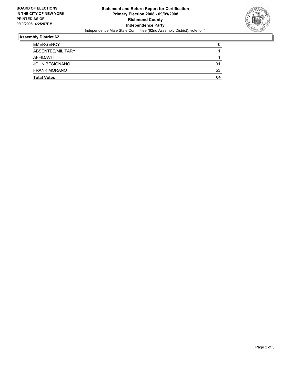

### **Assembly District 62**

| <b>FRANK MORANO</b>   | 53 |
|-----------------------|----|
| <b>JOHN BESIGNANO</b> | 31 |
| AFFIDAVIT             |    |
| ABSENTEE/MILITARY     |    |
| <b>EMERGENCY</b>      |    |